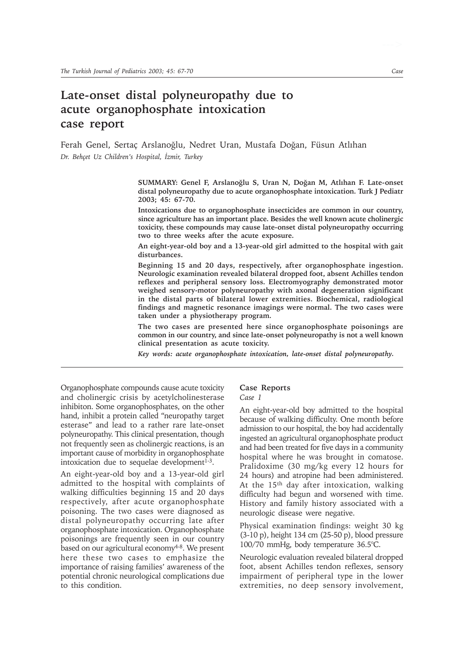# **Late-onset distal polyneuropathy due to acute organophosphate intoxication case report**

Ferah Genel, Sertaç Arslanoğlu, Nedret Uran, Mustafa Doğan, Füsun Atlıhan Dr. Behçet Uz Children's Hospital, İzmir, Turkey

> SUMMARY: Genel F, Arslanoğlu S, Uran N, Doğan M, Atlıhan F. Late-onset **distal polyneuropathy due to acute organophosphate intoxication. Turk J Pediatr 2003; 45: 67-70.**

> **Intoxications due to organophosphate insecticides are common in our country, since agriculture has an important place. Besides the well known acute cholinergic toxicity, these compounds may cause late-onset distal polyneuropathy occurring two to three weeks after the acute exposure.**

> **An eight-year-old boy and a 13-year-old girl admitted to the hospital with gait disturbances.**

> **Beginning 15 and 20 days, respectively, after organophosphate ingestion. Neurologic examination revealed bilateral dropped foot, absent Achilles tendon reflexes and peripheral sensory loss. Electromyography demonstrated motor weighed sensory-motor polyneuropathy with axonal degeneration significant in the distal parts of bilateral lower extremities. Biochemical, radiological findings and magnetic resonance imagings were normal. The two cases were taken under a physiotherapy program.**

> **The two cases are presented here since organophosphate poisonings are common in our country, and since late-onset polyneuropathy is not a well known clinical presentation as acute toxicity.**

*Key words: acute organophosphate intoxication, late-onset distal polyneuropathy.*

Organophosphate compounds cause acute toxicity and cholinergic crisis by acetylcholinesterase inhibiton. Some organophosphates, on the other hand, inhibit a protein called "neuropathy target esterase" and lead to a rather rare late-onset polyneuropathy. This clinical presentation, though not frequently seen as cholinergic reactions, is an important cause of morbidity in organophosphate intoxication due to sequelae development<sup>1-3</sup>.

An eight-year-old boy and a 13-year-old girl admitted to the hospital with complaints of walking difficulties beginning 15 and 20 days respectively, after acute organophosphate poisoning. The two cases were diagnosed as distal polyneuropathy occurring late after organophosphate intoxication. Organophosphate poisonings are frequently seen in our country based on our agricultural economy<sup>4-8</sup>. We present here these two cases to emphasize the importance of raising families' awareness of the potential chronic neurological complications due to this condition.

## **Case Reports**

#### *Case 1*

An eight-year-old boy admitted to the hospital because of walking difficulty. One month before admission to our hospital, the boy had accidentally ingested an agricultural organophosphate product and had been treated for five days in a community hospital where he was brought in comatose. Pralidoxime (30 mg/kg every 12 hours for 24 hours) and atropine had been administered. At the 15<sup>th</sup> day after intoxication, walking difficulty had begun and worsened with time. History and family history associated with a neurologic disease were negative.

Physical examination findings: weight 30 kg (3-10 p), height 134 cm (25-50 p), blood pressure 100/70 mmHg, body temperature 36.5°C.

Neurologic evaluation revealed bilateral dropped foot, absent Achilles tendon reflexes, sensory impairment of peripheral type in the lower extremities, no deep sensory involvement,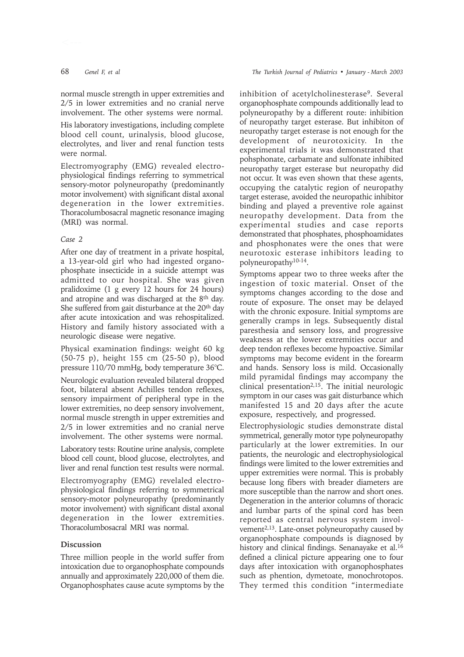His laboratory investigations, including complete blood cell count, urinalysis, blood glucose, electrolytes, and liver and renal function tests were normal.

Electromyography (EMG) revealed electrophysiological findings referring to symmetrical sensory-motor polyneuropathy (predominantly motor involvement) with significant distal axonal degeneration in the lower extremities. Thoracolumbosacral magnetic resonance imaging (MRI) was normal.

#### *Case 2*

After one day of treatment in a private hospital, a 13-year-old girl who had ingested organophosphate insecticide in a suicide attempt was admitted to our hospital. She was given pralidoxime (1 g every 12 hours for 24 hours) and atropine and was discharged at the 8th day. She suffered from gait disturbance at the 20<sup>th</sup> day after acute intoxication and was rehospitalized. History and family history associated with a neurologic disease were negative.

Physical examination findings: weight 60 kg (50-75 p), height 155 cm (25-50 p), blood pressure 110/70 mmHg, body temperature 36°C.

Neurologic evaluation revealed bilateral dropped foot, bilateral absent Achilles tendon reflexes, sensory impairment of peripheral type in the lower extremities, no deep sensory involvement, normal muscle strength in upper extremities and 2/5 in lower extremities and no cranial nerve involvement. The other systems were normal.

Laboratory tests: Routine urine analysis, complete blood cell count, blood glucose, electrolytes, and liver and renal function test results were normal.

Electromyography (EMG) revelaled electrophysiological findings referring to symmetrical sensory-motor polyneuropathy (predominantly motor involvement) with significant distal axonal degeneration in the lower extremities. Thoracolumbosacral MRI was normal.

### **Discussion**

Three million people in the world suffer from intoxication due to organophosphate compounds annually and approximately 220,000 of them die. Organophosphates cause acute symptoms by the

inhibition of acetylcholinesterase<sup>9</sup>. Several organophosphate compounds additionally lead to polyneuropathy by a different route: inhibition of neuropathy target esterase. But inhibiton of neuropathy target esterase is not enough for the development of neurotoxicity. In the experimental trials it was demonstrated that pohsphonate, carbamate and sulfonate inhibited neuropathy target esterase but neuropathy did not occur. It was even shown that these agents, occupying the catalytic region of neuropathy target esterase, avoided the neuropathic inhibitor binding and played a preventive role against neuropathy development. Data from the experimental studies and case reports demonstrated that phosphates, phosphoamidates and phosphonates were the ones that were neurotoxic esterase inhibitors leading to polyneuropathy10-14.

Symptoms appear two to three weeks after the ingestion of toxic material. Onset of the symptoms changes according to the dose and route of exposure. The onset may be delayed with the chronic exposure. Initial symptoms are generally cramps in legs. Subsequently distal paresthesia and sensory loss, and progressive weakness at the lower extremities occur and deep tendon reflexes become hypoactive. Similar symptoms may become evident in the forearm and hands. Sensory loss is mild. Occasionally mild pyramidal findings may accompany the clinical presentation<sup>2,15</sup>. The initial neurologic symptom in our cases was gait disturbance which manifested 15 and 20 days after the acute exposure, respectively, and progressed.

Electrophysiologic studies demonstrate distal symmetrical, generally motor type polyneuropathy particularly at the lower extremities. In our patients, the neurologic and electrophysiological findings were limited to the lower extremities and upper extremities were normal. This is probably because long fibers with breader diameters are more susceptible than the narrow and short ones. Degeneration in the anterior columns of thoracic and lumbar parts of the spinal cord has been reported as central nervous system involvement<sup>2,13</sup>. Late-onset polyneuropathy caused by organophosphate compounds is diagnosed by history and clinical findings. Senanayake et al.<sup>16</sup> defined a clinical picture appearing one to four days after intoxication with organophosphates such as phention, dymetoate, monochrotopos. They termed this condition "intermediate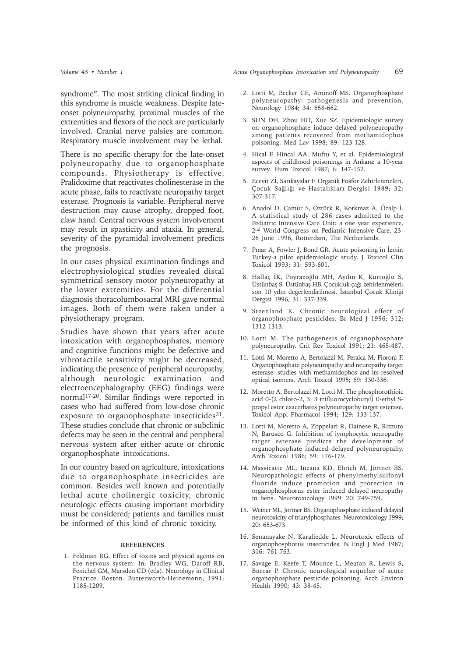syndrome". The most striking clinical finding in this syndrome is muscle weakness. Despite lateonset polyneuropathy, proximal muscles of the extremities and flexors of the neck are particularly involved. Cranial nerve palsies are common. Respiratory muscle involvement may be lethal.

There is no specific therapy for the late-onset polyneuropathy due to organophosphate compounds. Physiotherapy is effective. Pralidoxime that reactivates cholinesterase in the acute phase, fails to reactivate neuropathy target esterase. Prognosis is variable. Peripheral nerve destruction may cause atrophy, dropped foot, claw hand. Central nervous system involvement may result in spasticity and ataxia. In general, severity of the pyramidal involvement predicts the prognosis.

In our cases physical examination findings and electrophysiological studies revealed distal symmetrical sensory motor polyneuropathy at the lower extremities. For the differential diagnosis thoracolumbosacral MRI gave normal images. Both of them were taken under a physiotherapy program.

Studies have shown that years after acute intoxication with organophosphates, memory and cognitive functions might be defective and vibrotactile sensitivity might be decreased, indicating the presence of peripheral neuropathy, although neurologic examination and electroencephalography (EEG) findings were normal17-20. Similar findings were reported in cases who had suffered from low-dose chronic exposure to organophosphate insecticides<sup>21</sup>. These studies conclude that chronic or subclinic defects may be seen in the central and peripheral nervous system after either acute or chronic organophosphate intoxications.

In our country based on agriculture, intoxications due to organophosphate insecticides are common. Besides well known and potentially lethal acute cholinergic toxicity, chronic neurologic effects causing important morbidity must be considered; patients and families must be informed of this kind of chronic toxicity.

#### **REFERENCES**

1. Feldman RG. Effect of toxins and physical agents on the nervous system. In: Bradley WG, Daroff RB, Fenichel GM, Marsden CD (eds). Neurology in Clinical Practice. Boston. Butterworth-Heinemenn; 1991: 1185-1209.

- 2. Lotti M, Becker CE, Aminoff MS. Organophosphate polyneuropathy: pathogenesis and prevention. Neurology 1984; 34: 658-662.
- 3. SUN DH, Zhou HD, Xue SZ. Epidemiologic survey on organophosphate induce delayed polyneuropathy among patients recovered from methamidophos poisoning. Med Lav 1998; 89: 123-128.
- 4. Hical F, Hincal AA, Muftu Y, et al. Epidemiological aspects of childhood poisonings in Ankara: a 10-year survey. Hum Toxicol 1987; 6: 147-152.
- 5. Ecevit Zİ, Sarıkayalar F. Organik Fosfor Zehirlenmeleri. Çocuk Sağlığı ve Hastalıkları Dergisi 1989; 32: 307-317.
- 6. Anadol D, Çamur S, Öztürk R, Korkmaz A, Özalp İ. A statistical study of 286 cases admitted to the Pediatric Intensive Care Unit: a one year experience. 2nd World Congress on Pediatric Intensive Care, 23- 26 June 1996, Rotterdam, The Netherlands.
- 7. Pinar A, Fowler J, Bond GR. Acute poisoning in İzmir. Turkey-a pilot epidemiologic study. J Toxicol Clin Toxicol 1993; 31: 593-601.
- 8. Hallaç İK, Poyrazoğlu MH, Aydın K, Kurtoğlu S, Üstünbaş S. Üstünbaş HB. Çocukluk çağı zehirlenmeleri: son 10 yılın değerlendirilmesi. İstanbul Çocuk Kliniği Dergisi 1996, 31: 337-339.
- 9. Steenland K. Chronic neurological effect of organophosphate pesticides. Br Med J 1996; 312: 1312-1313.
- 10. Lotti M. The pathogenesis of organophosphate polyneuropathy. Crit Rev Toxicol 1991; 21: 465-487.
- 11. Lotti M, Moretto A, Bertolazzi M, Peraica M, Fioroni F. Organophosphate polyneuropathy and neuropathy target esterase: studies with methamidophos and its resolved optical isomers. Arch Toxicol 1995; 69: 330-336.
- 12. Moretto A, Bertolazzi M, Lotti M. The phosphorothioic acid 0-(2 chloro-2, 3, 3 trifluorocyclobutyl) 0-ethyl Spropyl ester exacerbates polyneuropathy target esterase. Toxicol Appl Pharmacol 1994; 129: 133-137.
- 13. Lotti M, Moretto A, Zoppelari R, Dainese R, Rizzuto N, Barusco G. Inhibition of lymphocytic neuropathy target esterase predicts the development of organophosphate induced delayed polyneuroptahy. Arch Toxicol 1986; 59: 176-179.
- 14. Massicatte ML, Inzana KD, Ehrich M, Jortner BS. Neuropathologic effects of phenylmethylsulfonyl fluoride induce promotion and protection in organophosphorus ester induced delayed neuropathy in hens. Neurotoxicology 1999; 20: 749-759.
- 15. Weiner ML, Jortner BS. Organophosphate induced delayed neurotoxicity of triarylphosphates. Neurotoxicology 1999; 20: 653-673.
- 16. Senanayake N, Karaliedde L. Neurotoxic effects of organophosphorus insecticides. N Engl J Med 1987; 316: 761-763.
- 17. Savage E, Keefe T, Mounce L, Meaton R, Lewis S, Burcar P. Chronic neurological sequelae of acute organophosphate pesticide poisoning. Arch Environ Health 1990; 43: 38-45.